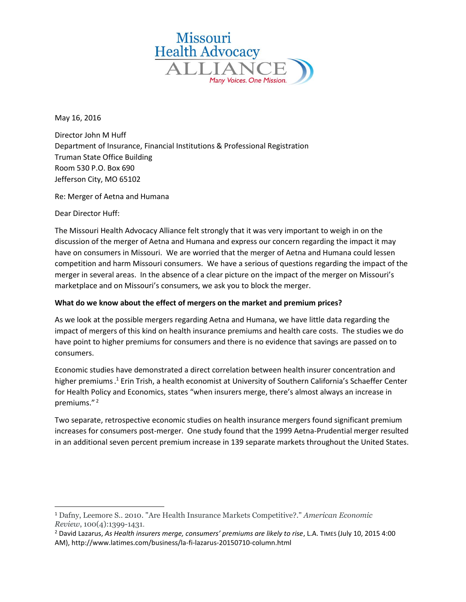

May 16, 2016

Director John M Huff Department of Insurance, Financial Institutions & Professional Registration Truman State Office Building Room 530 P.O. Box 690 Jefferson City, MO 65102

Re: Merger of Aetna and Humana

Dear Director Huff:

 $\overline{\phantom{a}}$ 

The Missouri Health Advocacy Alliance felt strongly that it was very important to weigh in on the discussion of the merger of Aetna and Humana and express our concern regarding the impact it may have on consumers in Missouri. We are worried that the merger of Aetna and Humana could lessen competition and harm Missouri consumers. We have a serious of questions regarding the impact of the merger in several areas. In the absence of a clear picture on the impact of the merger on Missouri's marketplace and on Missouri's consumers, we ask you to block the merger.

# **What do we know about the effect of mergers on the market and premium prices?**

As we look at the possible mergers regarding Aetna and Humana, we have little data regarding the impact of mergers of this kind on health insurance premiums and health care costs. The studies we do have point to higher premiums for consumers and there is no evidence that savings are passed on to consumers.

Economic studies have demonstrated a direct correlation between health insurer concentration and higher premiums. <sup>1</sup> Erin Trish, a health economist at University of Southern California's Schaeffer Center for Health Policy and Economics, states "when insurers merge, there's almost always an increase in premiums."<sup>2</sup>

Two separate, retrospective economic studies on health insurance mergers found significant premium increases for consumers post-merger. One study found that the 1999 Aetna-Prudential merger resulted in an additional seven percent premium increase in 139 separate markets throughout the United States.

<sup>1</sup> Dafny, Leemore S.. 2010. "Are Health Insurance Markets Competitive?." *American Economic Review*, 100(4):1399-1431.

<sup>2</sup> David Lazarus, *As Health insurers merge, consumers' premiums are likely to rise*, L.A. TIMES (July 10, 2015 4:00 AM), http://www.latimes.com/business/la-fi-lazarus-20150710-column.html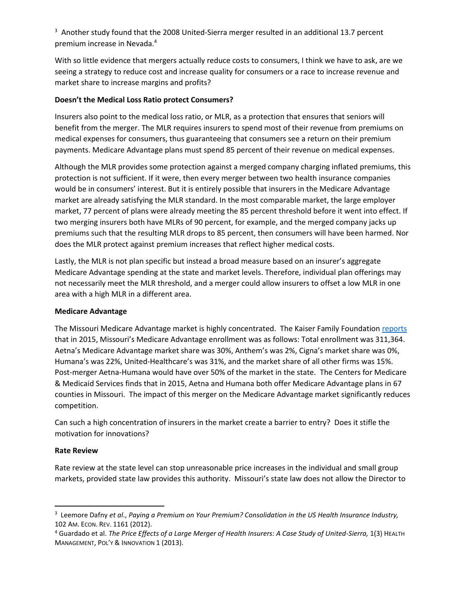$3$  Another study found that the 2008 United-Sierra merger resulted in an additional 13.7 percent premium increase in Nevada.<sup>4</sup>

With so little evidence that mergers actually reduce costs to consumers, I think we have to ask, are we seeing a strategy to reduce cost and increase quality for consumers or a race to increase revenue and market share to increase margins and profits?

# **Doesn't the Medical Loss Ratio protect Consumers?**

Insurers also point to the medical loss ratio, or MLR, as a protection that ensures that seniors will benefit from the merger. The MLR requires insurers to spend most of their revenue from premiums on medical expenses for consumers, thus guaranteeing that consumers see a return on their premium payments. Medicare Advantage plans must spend 85 percent of their revenue on medical expenses.

Although the MLR provides some protection against a merged company charging inflated premiums, this protection is not sufficient. If it were, then every merger between two health insurance companies would be in consumers' interest. But it is entirely possible that insurers in the Medicare Advantage market are already satisfying the MLR standard. In the most comparable market, the large employer market, 77 percent of plans were already meeting the 85 percent threshold before it went into effect. If two merging insurers both have MLRs of 90 percent, for example, and the merged company jacks up premiums such that the resulting MLR drops to 85 percent, then consumers will have been harmed. Nor does the MLR protect against premium increases that reflect higher medical costs.

Lastly, the MLR is not plan specific but instead a broad measure based on an insurer's aggregate Medicare Advantage spending at the state and market levels. Therefore, individual plan offerings may not necessarily meet the MLR threshold, and a merger could allow insurers to offset a low MLR in one area with a high MLR in a different area.

#### **Medicare Advantage**

The Missouri Medicare Advantage market is highly concentrated. The Kaiser Family Foundation [reports](http://kff.org/medicare/issue-brief/data-note-medicare-advantage-enrollment-by-firm-2015/) that in 2015, Missouri's Medicare Advantage enrollment was as follows: Total enrollment was 311,364. Aetna's Medicare Advantage market share was 30%, Anthem's was 2%, Cigna's market share was 0%, Humana's was 22%, United-Healthcare's was 31%, and the market share of all other firms was 15%. Post-merger Aetna-Humana would have over 50% of the market in the state. The Centers for Medicare & Medicaid Services finds that in 2015, Aetna and Humana both offer Medicare Advantage plans in 67 counties in Missouri. The impact of this merger on the Medicare Advantage market significantly reduces competition.

Can such a high concentration of insurers in the market create a barrier to entry? Does it stifle the motivation for innovations?

#### **Rate Review**

 $\overline{a}$ 

Rate review at the state level can stop unreasonable price increases in the individual and small group markets, provided state law provides this authority. Missouri's state law does not allow the Director to

<sup>3</sup> Leemore Dafny *et al*., *Paying a Premium on Your Premium? Consolidation in the US Health Insurance Industry,*  102 AM. ECON. REV. 1161 (2012).

<sup>4</sup> Guardado et al. *The Price Effects of a Large Merger of Health Insurers: A Case Study of United-Sierra,* 1(3) HEALTH MANAGEMENT, POL'Y & INNOVATION 1 (2013).